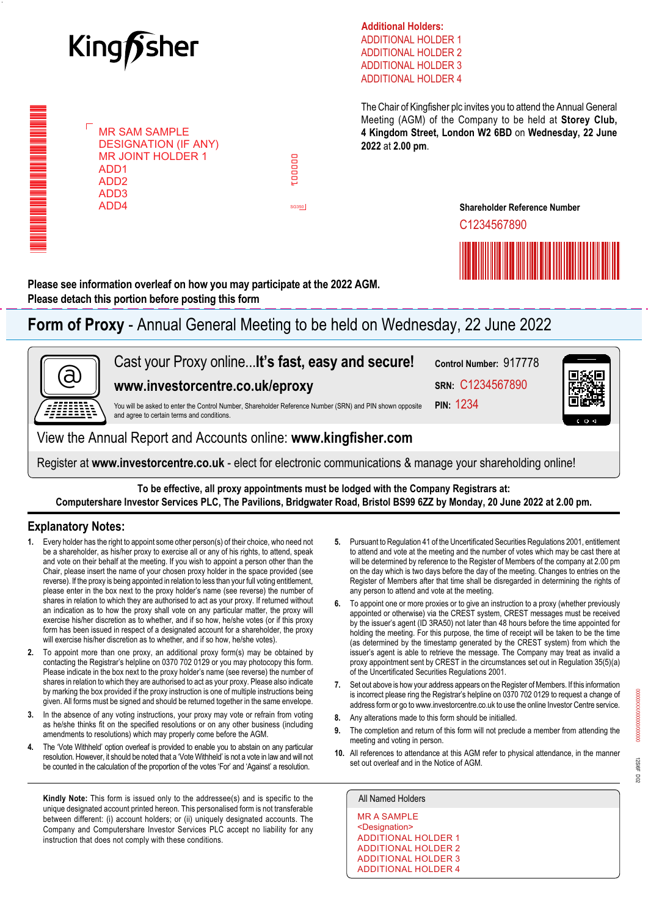

MR SAM SAMPLE MR SAM SAMPLE DESIGNATION (IF ANY) DESIGNATION (IF ANY) MR JOINT HOLDER 1 MR JOINT HOLDER 1

ADD1 ADD1 ADD2 ADD2 ADD3 ADD3 ADD4 ADD4

\*000001010101000\*

\*000001010101000\*

ADDITIONAL HOLDER 1 ADDITIONAL HOLDER 2 ADDITIONAL HOLDER 3 ADDITIONAL HOLDER 4 **Additional Holders:**

The Chair of Kingfisher plc invites you to attend the Annual General Meeting (AGM) of the Company to be held at **Storey Club, 4 Kingdom Street, London W2 6BD** on **Wednesday, 22 June 2022** at **2.00 pm**.

C1234567890

**Shareholder Reference Number**

**Please see information overleaf on how you may participate at the 2022 AGM. Please detach this portion before posting this form**

**Form of Proxy** - Annual General Meeting to be held on Wednesday, 22 June 2022

000001

cooper:

SG350

8<br>0<br>1



Register at **[www.investorcentre.co.uk](http://www.investorcentre.co.uk)** - elect for electronic communications & manage your shareholding online!

**To be effective, all proxy appointments must be lodged with the Company Registrars at: Computershare Investor Services PLC, The Pavilions, Bridgwater Road, Bristol BS99 6ZZ by Monday, 20 June 2022 at 2.00 pm.**

## **Explanatory Notes:**

- **1.** Every holder has the right to appoint some other person(s) of their choice, who need not be a shareholder, as his/her proxy to exercise all or any of his rights, to attend, speak and vote on their behalf at the meeting. If you wish to appoint a person other than the Chair, please insert the name of your chosen proxy holder in the space provided (see reverse). If the proxy is being appointed in relation to less than your full voting entitlement, please enter in the box next to the proxy holder's name (see reverse) the number of shares in relation to which they are authorised to act as your proxy. If returned without an indication as to how the proxy shall vote on any particular matter, the proxy will exercise his/her discretion as to whether, and if so how, he/she votes (or if this proxy form has been issued in respect of a designated account for a shareholder, the proxy will exercise his/her discretion as to whether, and if so how, he/she votes).
- **2.** To appoint more than one proxy, an additional proxy form(s) may be obtained by contacting the Registrar's helpline on 0370 702 0129 or you may photocopy this form. Please indicate in the box next to the proxy holder's name (see reverse) the number of shares in relation to which they are authorised to act as your proxy. Please also indicate by marking the box provided if the proxy instruction is one of multiple instructions being given. All forms must be signed and should be returned together in the same envelope.
- **3.** In the absence of any voting instructions, your proxy may vote or refrain from voting as he/she thinks fit on the specified resolutions or on any other business (including amendments to resolutions) which may properly come before the AGM.
- **4.** The 'Vote Withheld' option overleaf is provided to enable you to abstain on any particular resolution. However, it should be noted that a 'Vote Withheld' is not a vote in law and will not be counted in the calculation of the proportion of the votes 'For' and 'Against' a resolution.

**Kindly Note:** This form is issued only to the addressee(s) and is specific to the All Named Holders unique designated account printed hereon. This personalised form is not transferable between different: (i) account holders; or (ii) uniquely designated accounts. The Company and Computershare Investor Services PLC accept no liability for any instruction that does not comply with these conditions.

- **5.** Pursuant to Regulation 41 of the Uncertificated Securities Regulations 2001, entitlement to attend and vote at the meeting and the number of votes which may be cast there at will be determined by reference to the Register of Members of the company at 2.00 pm on the day which is two days before the day of the meeting. Changes to entries on the Register of Members after that time shall be disregarded in determining the rights of any person to attend and vote at the meeting.
- **6.** To appoint one or more proxies or to give an instruction to a proxy (whether previously appointed or otherwise) via the CREST system, CREST messages must be received by the issuer's agent (ID 3RA50) not later than 48 hours before the time appointed for holding the meeting. For this purpose, the time of receipt will be taken to be the time (as determined by the timestamp generated by the CREST system) from which the issuer's agent is able to retrieve the message. The Company may treat as invalid a proxy appointment sent by CREST in the circumstances set out in Regulation 35(5)(a) of the Uncertificated Securities Regulations 2001.
- **7.** Set out above is how your address appears on the Register of Members. If this information is incorrect please ring the Registrar's helpline on 0370 702 0129 to request a change of address form or go to www.investorcentre.co.uk to use the online Investor Centre service.
- **8.** Any alterations made to this form should be initialled.
- **9.** The completion and return of this form will not preclude a member from attending the meeting and voting in person.
- **10.** All references to attendance at this AGM refer to physical attendance, in the manner set out overleaf and in the Notice of AGM.

MR A SAMPLE <Designation> ADDITIONAL HOLDER 1 ADDITIONAL HOLDER 2 ADDITIONAL HOLDER 3 ADDITIONAL HOLDER 4